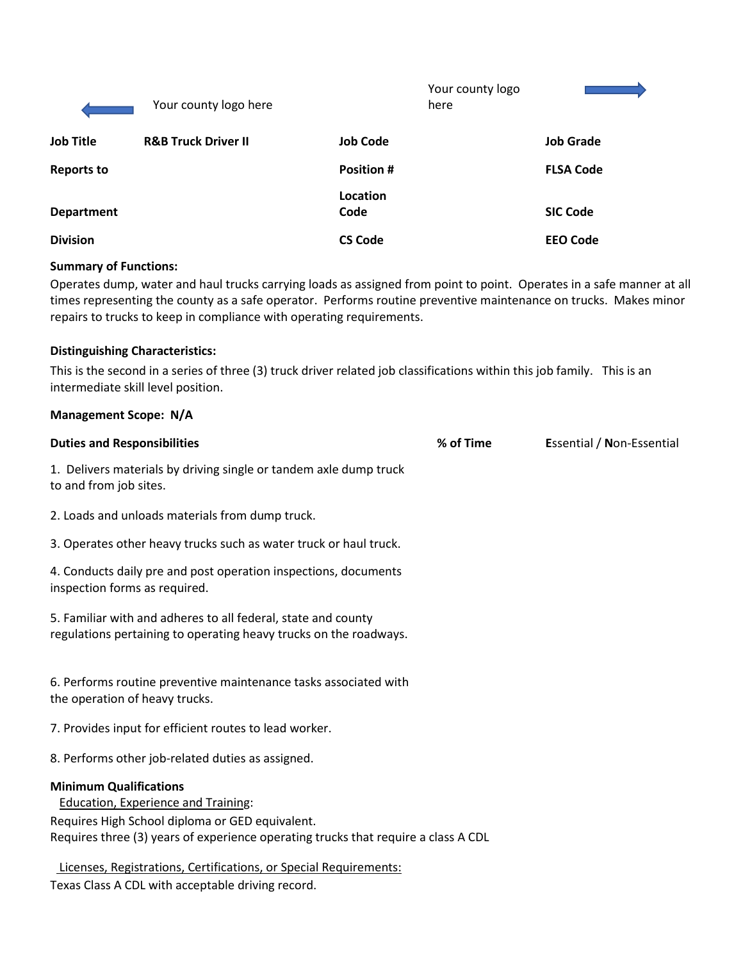|                   | Your county logo here          |                  | Your county logo<br>here |                  |
|-------------------|--------------------------------|------------------|--------------------------|------------------|
| <b>Job Title</b>  | <b>R&amp;B Truck Driver II</b> | <b>Job Code</b>  |                          | <b>Job Grade</b> |
| <b>Reports to</b> |                                | <b>Position#</b> |                          | <b>FLSA Code</b> |
| <b>Department</b> |                                | Location<br>Code |                          | <b>SIC Code</b>  |
| <b>Division</b>   |                                | <b>CS Code</b>   |                          | <b>EEO Code</b>  |

#### **Summary of Functions:**

Operates dump, water and haul trucks carrying loads as assigned from point to point. Operates in a safe manner at all times representing the county as a safe operator. Performs routine preventive maintenance on trucks. Makes minor repairs to trucks to keep in compliance with operating requirements.

#### **Distinguishing Characteristics:**

**Management Scope: N/A**

This is the second in a series of three (3) truck driver related job classifications within this job family. This is an intermediate skill level position.

| <b>Duties and Responsibilities</b>                                                                                                                                                                                   | % of Time | Essential / Non-Essential |
|----------------------------------------------------------------------------------------------------------------------------------------------------------------------------------------------------------------------|-----------|---------------------------|
| 1. Delivers materials by driving single or tandem axle dump truck<br>to and from job sites.                                                                                                                          |           |                           |
| 2. Loads and unloads materials from dump truck.                                                                                                                                                                      |           |                           |
| 3. Operates other heavy trucks such as water truck or haul truck.                                                                                                                                                    |           |                           |
| 4. Conducts daily pre and post operation inspections, documents<br>inspection forms as required.                                                                                                                     |           |                           |
| 5. Familiar with and adheres to all federal, state and county<br>regulations pertaining to operating heavy trucks on the roadways.                                                                                   |           |                           |
| 6. Performs routine preventive maintenance tasks associated with<br>the operation of heavy trucks.                                                                                                                   |           |                           |
| 7. Provides input for efficient routes to lead worker.                                                                                                                                                               |           |                           |
| 8. Performs other job-related duties as assigned.                                                                                                                                                                    |           |                           |
| <b>Minimum Qualifications</b><br><b>Education, Experience and Training:</b><br>Requires High School diploma or GED equivalent.<br>Requires three (3) years of experience operating trucks that require a class A CDL |           |                           |
| Licenses, Registrations, Certifications, or Special Requirements:                                                                                                                                                    |           |                           |
| Texas Class A CDL with acceptable driving record.                                                                                                                                                                    |           |                           |